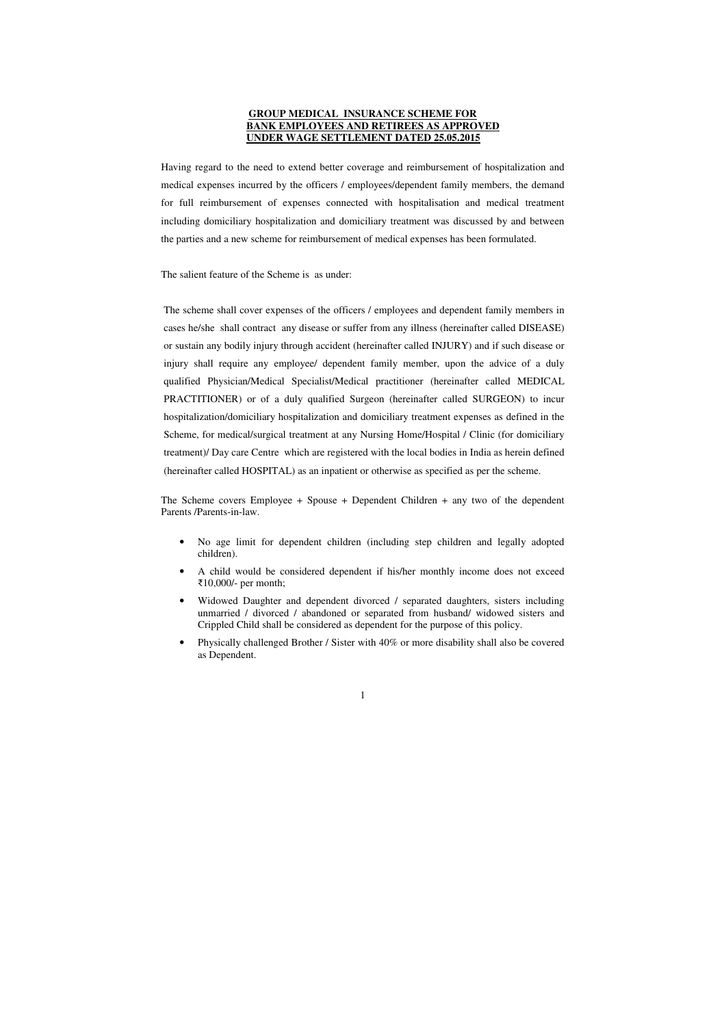# **GROUP MEDICAL INSURANCE SCHEME FOR BANK EMPLOYEES AND RETIREES AS APPROVED UNDER WAGE SETTLEMENT DATED 25.05.2015**

Having regard to the need to extend better coverage and reimbursement of hospitalization and medical expenses incurred by the officers / employees/dependent family members, the demand for full reimbursement of expenses connected with hospitalisation and medical treatment including domiciliary hospitalization and domiciliary treatment was discussed by and between the parties and a new scheme for reimbursement of medical expenses has been formulated.

The salient feature of the Scheme is as under:

The scheme shall cover expenses of the officers / employees and dependent family members in cases he/she shall contract any disease or suffer from any illness (hereinafter called DISEASE) or sustain any bodily injury through accident (hereinafter called INJURY) and if such disease or injury shall require any employee/ dependent family member, upon the advice of a duly qualified Physician/Medical Specialist/Medical practitioner (hereinafter called MEDICAL PRACTITIONER) or of a duly qualified Surgeon (hereinafter called SURGEON) to incur hospitalization/domiciliary hospitalization and domiciliary treatment expenses as defined in the Scheme, for medical/surgical treatment at any Nursing Home/Hospital / Clinic (for domiciliary treatment)/ Day care Centre which are registered with the local bodies in India as herein defined (hereinafter called HOSPITAL) as an inpatient or otherwise as specified as per the scheme.

The Scheme covers Employee + Spouse + Dependent Children + any two of the dependent Parents /Parents-in-law.

- No age limit for dependent children (including step children and legally adopted children).
- A child would be considered dependent if his/her monthly income does not exceed ₹10,000/- per month;
- Widowed Daughter and dependent divorced / separated daughters, sisters including unmarried / divorced / abandoned or separated from husband/ widowed sisters and Crippled Child shall be considered as dependent for the purpose of this policy.
- Physically challenged Brother / Sister with 40% or more disability shall also be covered as Dependent.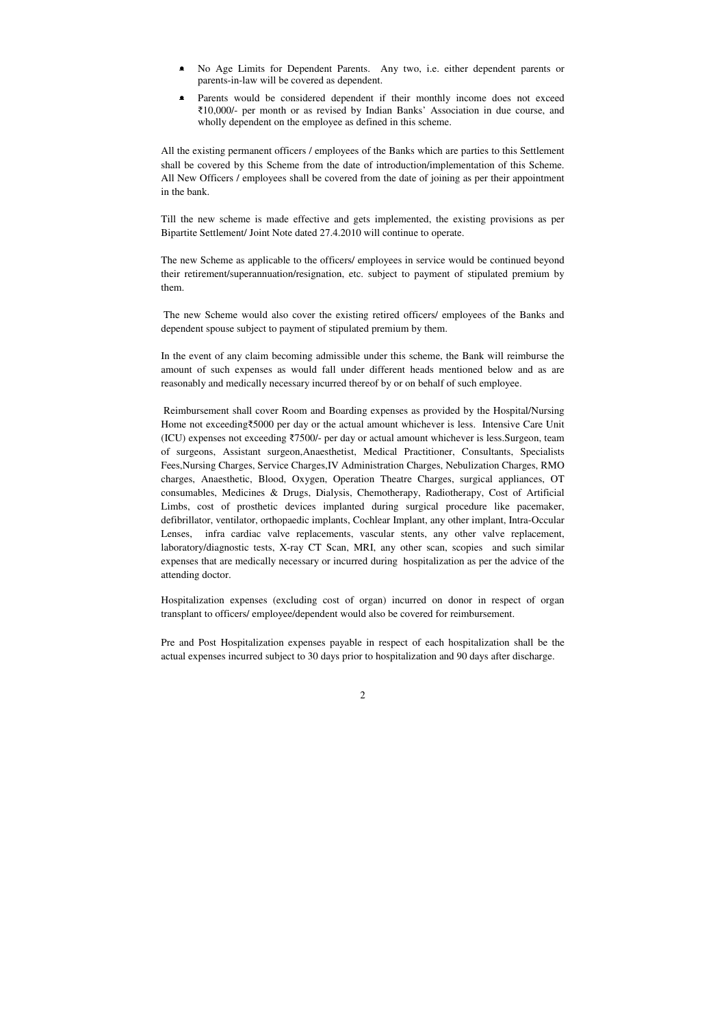- No Age Limits for Dependent Parents. Any two, i.e. either dependent parents or parents-in-law will be covered as dependent.
- Parents would be considered dependent if their monthly income does not exceed ₹10,000/- per month or as revised by Indian Banks' Association in due course, and wholly dependent on the employee as defined in this scheme.

All the existing permanent officers / employees of the Banks which are parties to this Settlement shall be covered by this Scheme from the date of introduction/implementation of this Scheme. All New Officers / employees shall be covered from the date of joining as per their appointment in the bank.

Till the new scheme is made effective and gets implemented, the existing provisions as per Bipartite Settlement/ Joint Note dated 27.4.2010 will continue to operate.

The new Scheme as applicable to the officers/ employees in service would be continued beyond their retirement/superannuation/resignation, etc. subject to payment of stipulated premium by them.

 The new Scheme would also cover the existing retired officers/ employees of the Banks and dependent spouse subject to payment of stipulated premium by them.

In the event of any claim becoming admissible under this scheme, the Bank will reimburse the amount of such expenses as would fall under different heads mentioned below and as are reasonably and medically necessary incurred thereof by or on behalf of such employee.

 Reimbursement shall cover Room and Boarding expenses as provided by the Hospital/Nursing Home not exceeding₹5000 per day or the actual amount whichever is less. Intensive Care Unit (ICU) expenses not exceeding ₹7500/- per day or actual amount whichever is less.Surgeon, team of surgeons, Assistant surgeon,Anaesthetist, Medical Practitioner, Consultants, Specialists Fees,Nursing Charges, Service Charges,IV Administration Charges, Nebulization Charges, RMO charges, Anaesthetic, Blood, Oxygen, Operation Theatre Charges, surgical appliances, OT consumables, Medicines & Drugs, Dialysis, Chemotherapy, Radiotherapy, Cost of Artificial Limbs, cost of prosthetic devices implanted during surgical procedure like pacemaker, defibrillator, ventilator, orthopaedic implants, Cochlear Implant, any other implant, Intra-Occular Lenses, infra cardiac valve replacements, vascular stents, any other valve replacement, laboratory/diagnostic tests, X-ray CT Scan, MRI, any other scan, scopies and such similar expenses that are medically necessary or incurred during hospitalization as per the advice of the attending doctor.

Hospitalization expenses (excluding cost of organ) incurred on donor in respect of organ transplant to officers/ employee/dependent would also be covered for reimbursement.

Pre and Post Hospitalization expenses payable in respect of each hospitalization shall be the actual expenses incurred subject to 30 days prior to hospitalization and 90 days after discharge.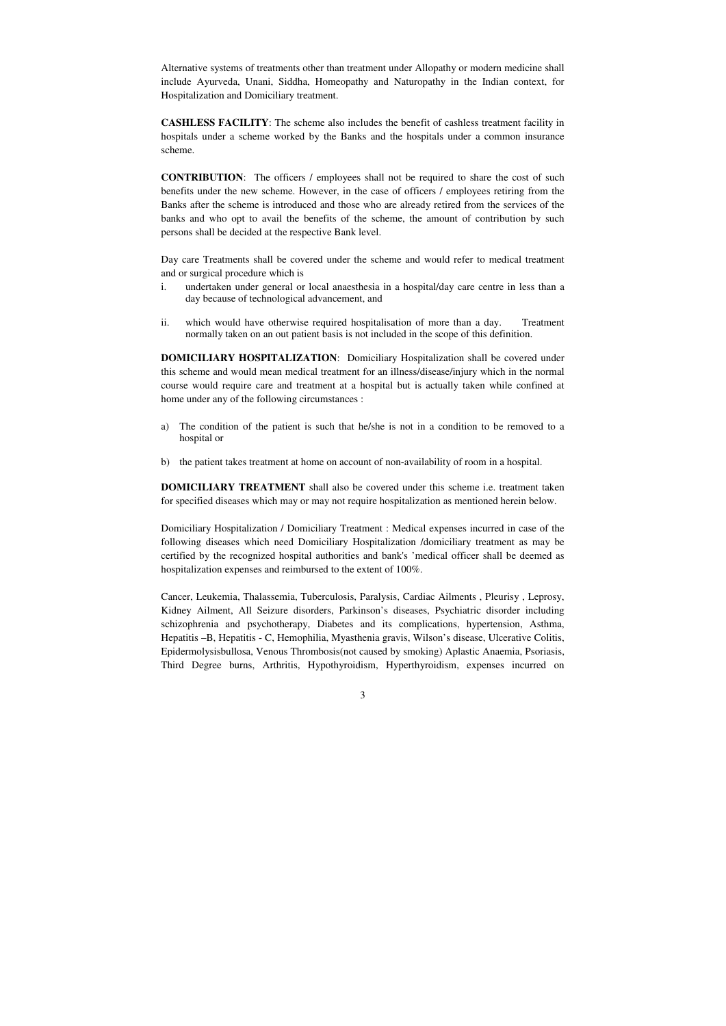Alternative systems of treatments other than treatment under Allopathy or modern medicine shall include Ayurveda, Unani, Siddha, Homeopathy and Naturopathy in the Indian context, for Hospitalization and Domiciliary treatment.

**CASHLESS FACILITY**: The scheme also includes the benefit of cashless treatment facility in hospitals under a scheme worked by the Banks and the hospitals under a common insurance scheme.

**CONTRIBUTION**: The officers / employees shall not be required to share the cost of such benefits under the new scheme. However, in the case of officers / employees retiring from the Banks after the scheme is introduced and those who are already retired from the services of the banks and who opt to avail the benefits of the scheme, the amount of contribution by such persons shall be decided at the respective Bank level.

Day care Treatments shall be covered under the scheme and would refer to medical treatment and or surgical procedure which is

**DOMICILIARY TREATMENT** shall also be covered under this scheme i.e. treatment taken for specified diseases which may or may not require hospitalization as mentioned herein below.

- i. undertaken under general or local anaesthesia in a hospital/day care centre in less than a day because of technological advancement, and
- ii. which would have otherwise required hospitalisation of more than a day. Treatment normally taken on an out patient basis is not included in the scope of this definition.

**DOMICILIARY HOSPITALIZATION**: Domiciliary Hospitalization shall be covered under this scheme and would mean medical treatment for an illness/disease/injury which in the normal course would require care and treatment at a hospital but is actually taken while confined at home under any of the following circumstances :

- a) The condition of the patient is such that he/she is not in a condition to be removed to a hospital or
- b) the patient takes treatment at home on account of non-availability of room in a hospital.

Domiciliary Hospitalization / Domiciliary Treatment : Medical expenses incurred in case of the following diseases which need Domiciliary Hospitalization /domiciliary treatment as may be certified by the recognized hospital authorities and bank's 'medical officer shall be deemed as hospitalization expenses and reimbursed to the extent of 100%.

Cancer, Leukemia, Thalassemia, Tuberculosis, Paralysis, Cardiac Ailments , Pleurisy , Leprosy, Kidney Ailment, All Seizure disorders, Parkinson's diseases, Psychiatric disorder including schizophrenia and psychotherapy, Diabetes and its complications, hypertension, Asthma, Hepatitis –B, Hepatitis - C, Hemophilia, Myasthenia gravis, Wilson's disease, Ulcerative Colitis, Epidermolysisbullosa, Venous Thrombosis(not caused by smoking) Aplastic Anaemia, Psoriasis, Third Degree burns, Arthritis, Hypothyroidism, Hyperthyroidism, expenses incurred on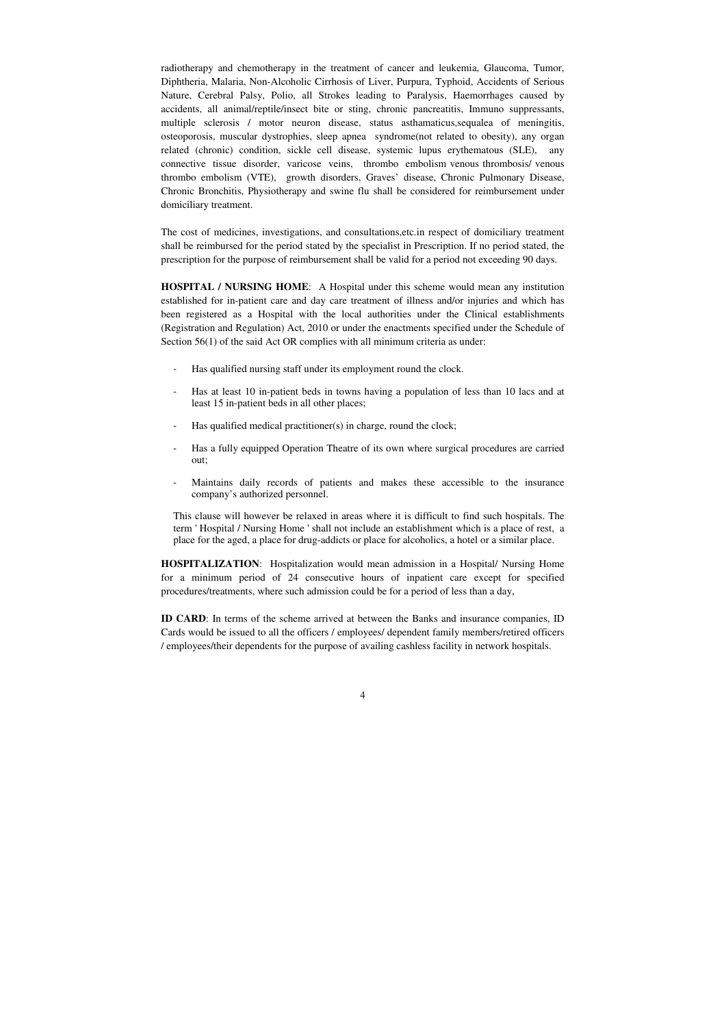radiotherapy and chemotherapy in the treatment of cancer and leukemia, Glaucoma, Tumor, Diphtheria, Malaria, Non-Alcoholic Cirrhosis of Liver, Purpura, Typhoid, Accidents of Serious Nature, Cerebral Palsy, Polio, all Strokes leading to Paralysis, Haemorrhages caused by accidents, all animal/reptile/insect bite or sting, chronic pancreatitis, Immuno suppressants, multiple sclerosis / motor neuron disease, status asthamaticus, sequalea of meningitis, osteoporosis, muscular dystrophies, sleep apnea syndrome(not related to obesity), any organ related (chronic) condition, sickle cell disease, systemic lupus erythematous (SLE), any connective tissue disorder, varicose veins, thrombo embolism venous thrombosis/ venous thrombo embolism (VTE), growth disorders, Graves' disease, Chronic Pulmonary Disease, Chronic Bronchitis, Physiotherapy and swine flu shall be considered for reimbursement under domiciliary treatment.

**HOSPITAL / NURSING HOME**: A Hospital under this scheme would mean any institution established for in-patient care and day care treatment of illness and/or injuries and which has been registered as a Hospital with the local authorities under the Clinical establishments (Registration and Regulation) Act, 2010 or under the enactments specified under the Schedule of Section 56(1) of the said Act OR complies with all minimum criteria as under:

The cost of medicines, investigations, and consultations,etc.in respect of domiciliary treatment shall be reimbursed for the period stated by the specialist in Prescription. If no period stated, the prescription for the purpose of reimbursement shall be valid for a period not exceeding 90 days.

- Has qualified nursing staff under its employment round the clock.
- Has at least 10 in-patient beds in towns having a population of less than 10 lacs and at least 15 in-patient beds in all other places;
- Has qualified medical practitioner(s) in charge, round the clock;
- Has a fully equipped Operation Theatre of its own where surgical procedures are carried out;
- Maintains daily records of patients and makes these accessible to the insurance company's authorized personnel.

This clause will however be relaxed in areas where it is difficult to find such hospitals. The term ' Hospital / Nursing Home ' shall not include an establishment which is a place of rest, a place for the aged, a place for drug-addicts or place for alcoholics, a hotel or a similar place.

**HOSPITALIZATION**: Hospitalization would mean admission in a Hospital/ Nursing Home for a minimum period of 24 consecutive hours of inpatient care except for specified procedures/treatments, where such admission could be for a period of less than a day,

**ID CARD**: In terms of the scheme arrived at between the Banks and insurance companies, ID Cards would be issued to all the officers / employees/ dependent family members/retired officers / employees/their dependents for the purpose of availing cashless facility in network hospitals.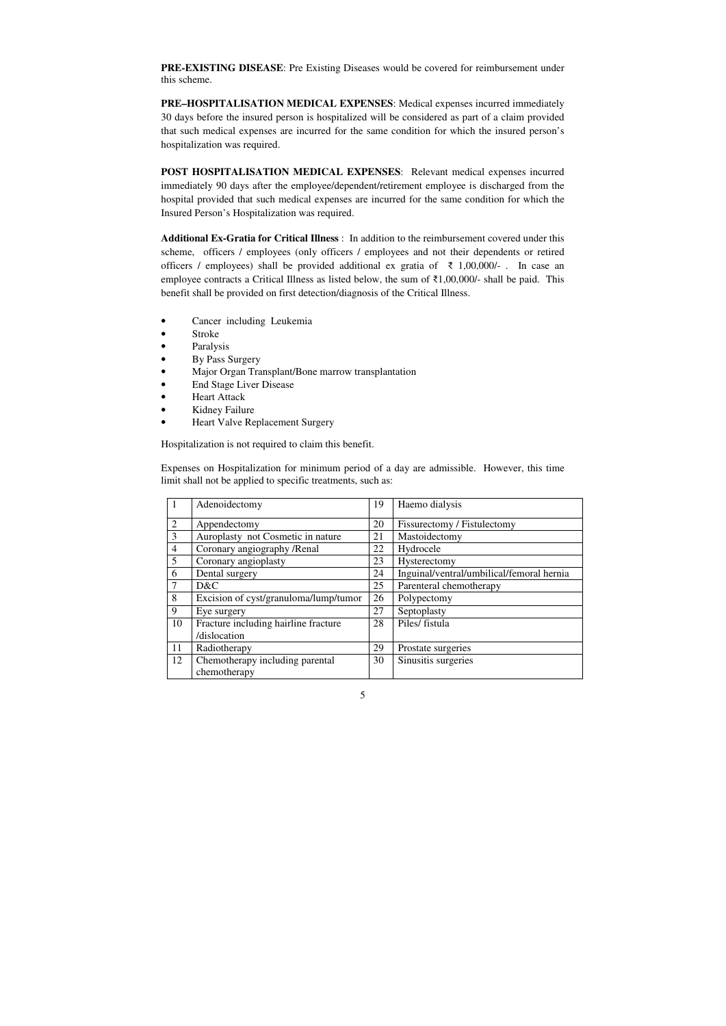**PRE-EXISTING DISEASE**: Pre Existing Diseases would be covered for reimbursement under this scheme.

**PRE–HOSPITALISATION MEDICAL EXPENSES**: Medical expenses incurred immediately 30 days before the insured person is hospitalized will be considered as part of a claim provided that such medical expenses are incurred for the same condition for which the insured person's hospitalization was required.

**POST HOSPITALISATION MEDICAL EXPENSES**: Relevant medical expenses incurred immediately 90 days after the employee/dependent/retirement employee is discharged from the hospital provided that such medical expenses are incurred for the same condition for which the Insured Person's Hospitalization was required.

- Cancer including Leukemia
- Stroke
- **Paralysis**
- By Pass Surgery
- Major Organ Transplant/Bone marrow transplantation
- End Stage Liver Disease
- Heart Attack
- Kidney Failure
- Heart Valve Replacement Surgery

**Additional Ex-Gratia for Critical Illness** : In addition to the reimbursement covered under this scheme, officers / employees (only officers / employees and not their dependents or retired officers / employees) shall be provided additional ex gratia of  $\bar{\tau}$  1,00,000/-. In case an employee contracts a Critical Illness as listed below, the sum of ₹1,00,000/- shall be paid. This benefit shall be provided on first detection/diagnosis of the Critical Illness.

Hospitalization is not required to claim this benefit.

Expenses on Hospitalization for minimum period of a day are admissible. However, this time limit shall not be applied to specific treatments, such as:

|                | Adenoidectomy                         | 19 | Haemo dialysis                            |
|----------------|---------------------------------------|----|-------------------------------------------|
| 2              | Appendectomy                          | 20 | Fissurectomy / Fistulectomy               |
| $\overline{3}$ | Auroplasty not Cosmetic in nature     | 21 | Mastoidectomy                             |
| $\overline{4}$ | Coronary angiography /Renal           | 22 | Hydrocele                                 |
| 5              | Coronary angioplasty                  | 23 | Hysterectomy                              |
| 6              | Dental surgery                        | 24 | Inguinal/ventral/umbilical/femoral hernia |
|                | D&C                                   | 25 | Parenteral chemotherapy                   |
| 8              | Excision of cyst/granuloma/lump/tumor | 26 | Polypectomy                               |
| 9              | Eye surgery                           | 27 | Septoplasty                               |
| 10             | Fracture including hairline fracture  | 28 | Piles/ fistula                            |
|                | /dislocation                          |    |                                           |
| 11             | Radiotherapy                          | 29 | Prostate surgeries                        |
| 12             | Chemotherapy including parental       | 30 | Sinusitis surgeries                       |
|                | chemotherapy                          |    |                                           |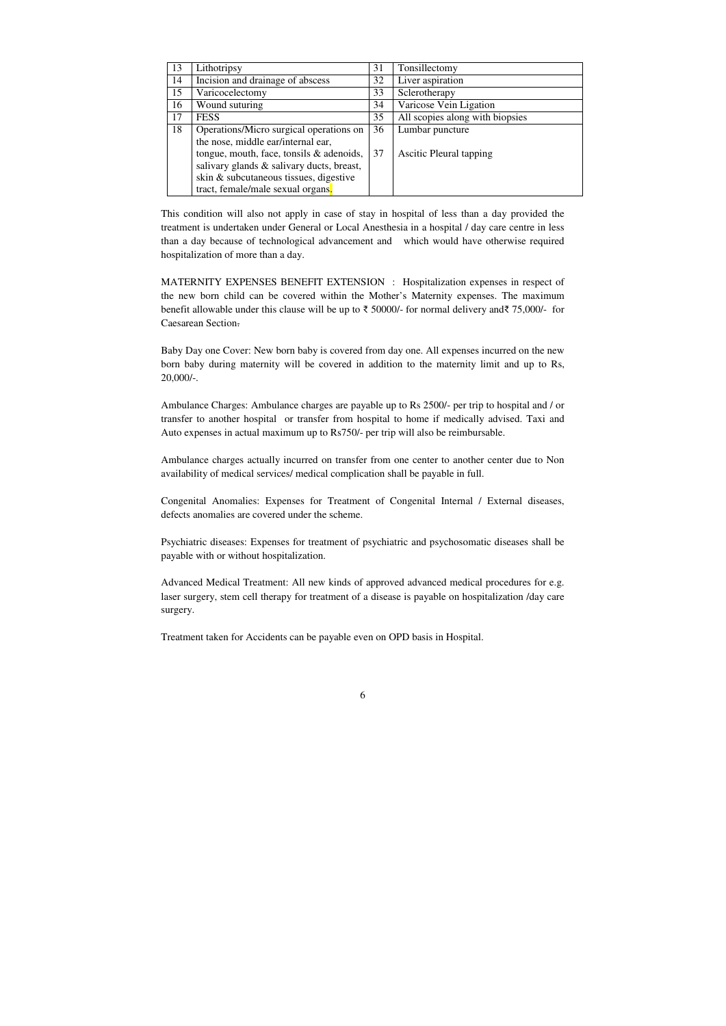| 13 | Lithotripsy                               | 31 | Tonsillectomy                   |
|----|-------------------------------------------|----|---------------------------------|
| 14 | Incision and drainage of abscess          | 32 | Liver aspiration                |
| 15 | Varicocelectomy                           | 33 | Sclerotherapy                   |
| 16 | Wound suturing                            | 34 | Varicose Vein Ligation          |
| 17 | <b>FESS</b>                               | 35 | All scopies along with biopsies |
| 18 | Operations/Micro surgical operations on   | 36 | Lumbar puncture                 |
|    | the nose, middle ear/internal ear,        |    |                                 |
|    | tongue, mouth, face, tonsils & adenoids,  | 37 | <b>Ascitic Pleural tapping</b>  |
|    | salivary glands & salivary ducts, breast, |    |                                 |
|    | skin & subcutaneous tissues, digestive    |    |                                 |
|    | tract, female/male sexual organs.         |    |                                 |

This condition will also not apply in case of stay in hospital of less than a day provided the treatment is undertaken under General or Local Anesthesia in a hospital / day care centre in less than a day because of technological advancement and which would have otherwise required hospitalization of more than a day.

MATERNITY EXPENSES BENEFIT EXTENSION : Hospitalization expenses in respect of the new born child can be covered within the Mother's Maternity expenses. The maximum benefit allowable under this clause will be up to ₹ 50000/- for normal delivery and₹ 75,000/- for Caesarean Section.

Baby Day one Cover: New born baby is covered from day one. All expenses incurred on the new born baby during maternity will be covered in addition to the maternity limit and up to Rs, 20,000/-.

Ambulance Charges: Ambulance charges are payable up to Rs 2500/- per trip to hospital and / or transfer to another hospital or transfer from hospital to home if medically advised. Taxi and Auto expenses in actual maximum up to Rs750/- per trip will also be reimbursable.

Ambulance charges actually incurred on transfer from one center to another center due to Non availability of medical services/ medical complication shall be payable in full.

Congenital Anomalies: Expenses for Treatment of Congenital Internal / External diseases, defects anomalies are covered under the scheme.

Psychiatric diseases: Expenses for treatment of psychiatric and psychosomatic diseases shall be payable with or without hospitalization.

Advanced Medical Treatment: All new kinds of approved advanced medical procedures for e.g. laser surgery, stem cell therapy for treatment of a disease is payable on hospitalization /day care surgery.

Treatment taken for Accidents can be payable even on OPD basis in Hospital.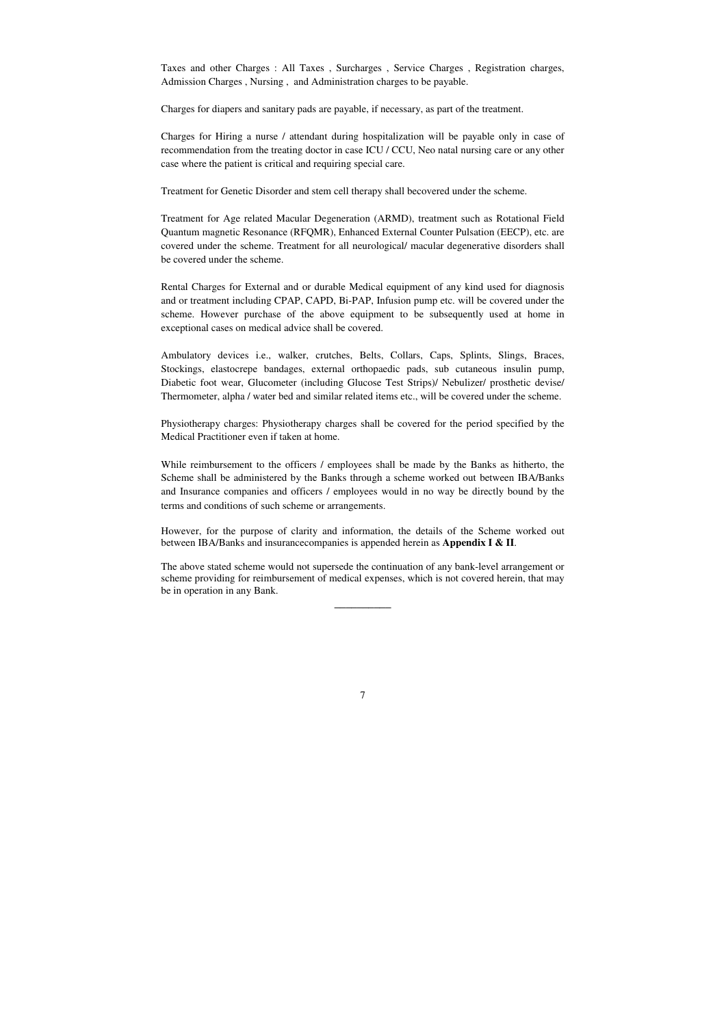Taxes and other Charges : All Taxes , Surcharges , Service Charges , Registration charges, Admission Charges , Nursing , and Administration charges to be payable.

Charges for diapers and sanitary pads are payable, if necessary, as part of the treatment.

Charges for Hiring a nurse / attendant during hospitalization will be payable only in case of recommendation from the treating doctor in case ICU / CCU, Neo natal nursing care or any other case where the patient is critical and requiring special care.

Treatment for Genetic Disorder and stem cell therapy shall becovered under the scheme.

Treatment for Age related Macular Degeneration (ARMD), treatment such as Rotational Field Quantum magnetic Resonance (RFQMR), Enhanced External Counter Pulsation (EECP), etc. are covered under the scheme. Treatment for all neurological/ macular degenerative disorders shall be covered under the scheme.

While reimbursement to the officers / employees shall be made by the Banks as hitherto, the Scheme shall be administered by the Banks through a scheme worked out between IBA/Banks and Insurance companies and officers / employees would in no way be directly bound by the terms and conditions of such scheme or arrangements.

Rental Charges for External and or durable Medical equipment of any kind used for diagnosis and or treatment including CPAP, CAPD, Bi-PAP, Infusion pump etc. will be covered under the scheme. However purchase of the above equipment to be subsequently used at home in exceptional cases on medical advice shall be covered.

Ambulatory devices i.e., walker, crutches, Belts, Collars, Caps, Splints, Slings, Braces, Stockings, elastocrepe bandages, external orthopaedic pads, sub cutaneous insulin pump, Diabetic foot wear, Glucometer (including Glucose Test Strips)/ Nebulizer/ prosthetic devise/ Thermometer, alpha / water bed and similar related items etc., will be covered under the scheme.

Physiotherapy charges: Physiotherapy charges shall be covered for the period specified by the Medical Practitioner even if taken at home.

However, for the purpose of clarity and information, the details of the Scheme worked out between IBA/Banks and insurancecompanies is appended herein as **Appendix I & II**.

The above stated scheme would not supersede the continuation of any bank-level arrangement or scheme providing for reimbursement of medical expenses, which is not covered herein, that may be in operation in any Bank.

 $\overline{\phantom{a}}$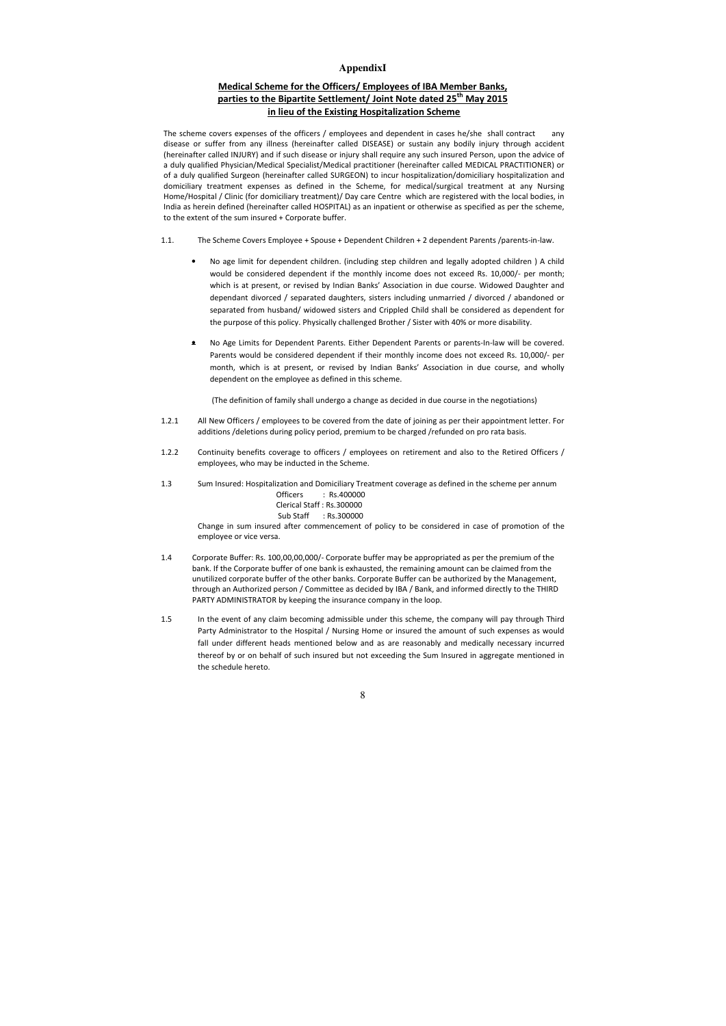# **AppendixI**

# **Medical Scheme for the Officers/ Employees of IBA Member Banks, parties to the Bipartite Settlement/ Joint Note dated 25th May 2015 in lieu of the Existing Hospitalization Scheme**

The scheme covers expenses of the officers / employees and dependent in cases he/she shall contract any disease or suffer from any illness (hereinafter called DISEASE) or sustain any bodily injury through accident (hereinafter called INJURY) and if such disease or injury shall require any such insured Person, upon the advice of a duly qualified Physician/Medical Specialist/Medical practitioner (hereinafter called MEDICAL PRACTITIONER) or of a duly qualified Surgeon (hereinafter called SURGEON) to incur hospitalization/domiciliary hospitalization and domiciliary treatment expenses as defined in the Scheme, for medical/surgical treatment at any Nursing Home/Hospital / Clinic (for domiciliary treatment)/ Day care Centre which are registered with the local bodies, in India as herein defined (hereinafter called HOSPITAL) as an inpatient or otherwise as specified as per the scheme, to the extent of the sum insured + Corporate buffer.

- 1.1. The Scheme Covers Employee + Spouse + Dependent Children + 2 dependent Parents /parents-in-law.
	- No age limit for dependent children. (including step children and legally adopted children ) A child would be considered dependent if the monthly income does not exceed Rs. 10,000/- per month; which is at present, or revised by Indian Banks' Association in due course. Widowed Daughter and dependant divorced / separated daughters, sisters including unmarried / divorced / abandoned or separated from husband/ widowed sisters and Crippled Child shall be considered as dependent for the purpose of this policy. Physically challenged Brother / Sister with 40% or more disability.
	- No Age Limits for Dependent Parents. Either Dependent Parents or parents-In-law will be covered. Parents would be considered dependent if their monthly income does not exceed Rs. 10,000/- per month, which is at present, or revised by Indian Banks' Association in due course, and wholly dependent on the employee as defined in this scheme.

(The definition of family shall undergo a change as decided in due course in the negotiations)

- 1.2.1 All New Officers / employees to be covered from the date of joining as per their appointment letter. For additions /deletions during policy period, premium to be charged /refunded on pro rata basis.
- 1.2.2 Continuity benefits coverage to officers / employees on retirement and also to the Retired Officers / employees, who may be inducted in the Scheme.
- 1.3 Sum Insured: Hospitalization and Domiciliary Treatment coverage as defined in the scheme per annum Officers : Rs.400000

# Clerical Staff : Rs.300000

### Sub Staff : Rs.300000

 Change in sum insured after commencement of policy to be considered in case of promotion of the employee or vice versa.

- 1.4 Corporate Buffer: Rs. 100,00,00,000/- Corporate buffer may be appropriated as per the premium of the bank. If the Corporate buffer of one bank is exhausted, the remaining amount can be claimed from the unutilized corporate buffer of the other banks. Corporate Buffer can be authorized by the Management, through an Authorized person / Committee as decided by IBA / Bank, and informed directly to the THIRD PARTY ADMINISTRATOR by keeping the insurance company in the loop.
- 1.5 In the event of any claim becoming admissible under this scheme, the company will pay through Third Party Administrator to the Hospital / Nursing Home or insured the amount of such expenses as would fall under different heads mentioned below and as are reasonably and medically necessary incurred thereof by or on behalf of such insured but not exceeding the Sum Insured in aggregate mentioned in the schedule hereto.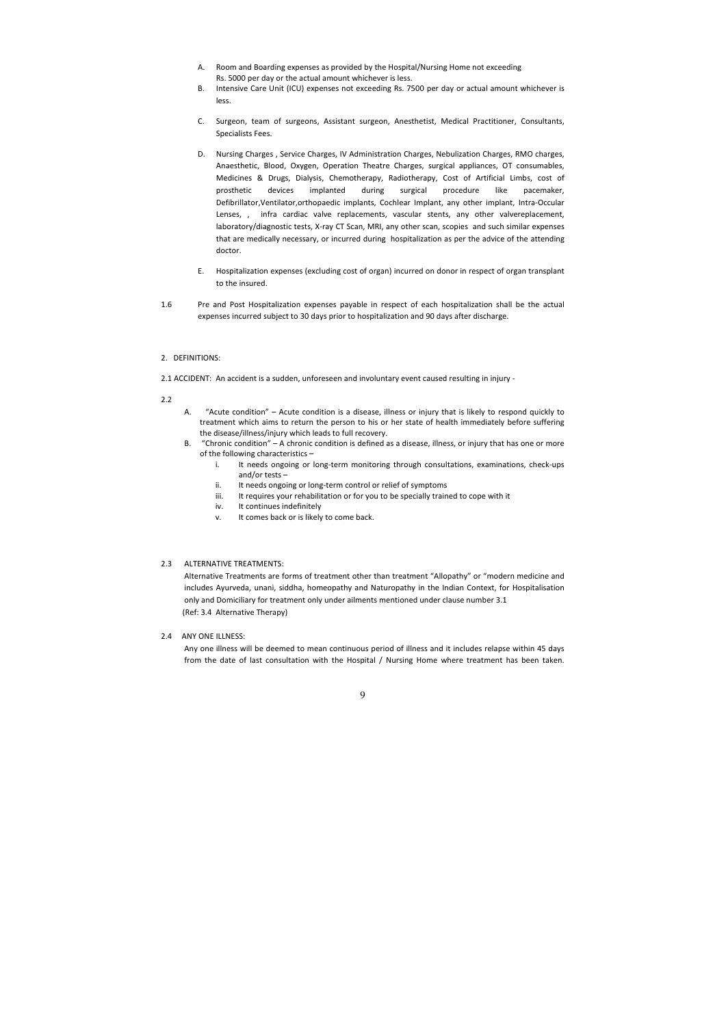- A. Room and Boarding expenses as provided by the Hospital/Nursing Home not exceeding Rs. 5000 per day or the actual amount whichever is less.
- B. Intensive Care Unit (ICU) expenses not exceeding Rs. 7500 per day or actual amount whichever is less.
- C. Surgeon, team of surgeons, Assistant surgeon, Anesthetist, Medical Practitioner, Consultants, Specialists Fees.
- D. Nursing Charges , Service Charges, IV Administration Charges, Nebulization Charges, RMO charges, Anaesthetic, Blood, Oxygen, Operation Theatre Charges, surgical appliances, OT consumables, Medicines & Drugs, Dialysis, Chemotherapy, Radiotherapy, Cost of Artificial Limbs, cost of prosthetic devices implanted during surgical procedure like pacemaker, Defibrillator,Ventilator,orthopaedic implants, Cochlear Implant, any other implant, Intra-Occular Lenses, , infra cardiac valve replacements, vascular stents, any other valvereplacement, laboratory/diagnostic tests, X-ray CT Scan, MRI, any other scan, scopies and such similar expenses that are medically necessary, or incurred during hospitalization as per the advice of the attending doctor.
- E. Hospitalization expenses (excluding cost of organ) incurred on donor in respect of organ transplant to the insured.
- 1.6 Pre and Post Hospitalization expenses payable in respect of each hospitalization shall be the actual expenses incurred subject to 30 days prior to hospitalization and 90 days after discharge.

#### 2. DEFINITIONS:

2.1 ACCIDENT: An accident is a sudden, unforeseen and involuntary event caused resulting in injury -

### 2.2

- A. "Acute condition" Acute condition is a disease, illness or injury that is likely to respond quickly to treatment which aims to return the person to his or her state of health immediately before suffering the disease/illness/injury which leads to full recovery.
- B. "Chronic condition" A chronic condition is defined as a disease, illness, or injury that has one or more of the following characteristics –
	- i. It needs ongoing or long-term monitoring through consultations, examinations, check-ups and/or tests –
	- ii. It needs ongoing or long-term control or relief of symptoms
	- iii. It requires your rehabilitation or for you to be specially trained to cope with it
	- iv. It continues indefinitely
	- v. It comes back or is likely to come back.

## 2.3 ALTERNATIVE TREATMENTS:

 Alternative Treatments are forms of treatment other than treatment "Allopathy" or "modern medicine and includes Ayurveda, unani, siddha, homeopathy and Naturopathy in the Indian Context, for Hospitalisation only and Domiciliary for treatment only under ailments mentioned under clause number 3.1 (Ref: 3.4 Alternative Therapy)

2.4 ANY ONE ILLNESS:

 Any one illness will be deemed to mean continuous period of illness and it includes relapse within 45 days from the date of last consultation with the Hospital / Nursing Home where treatment has been taken.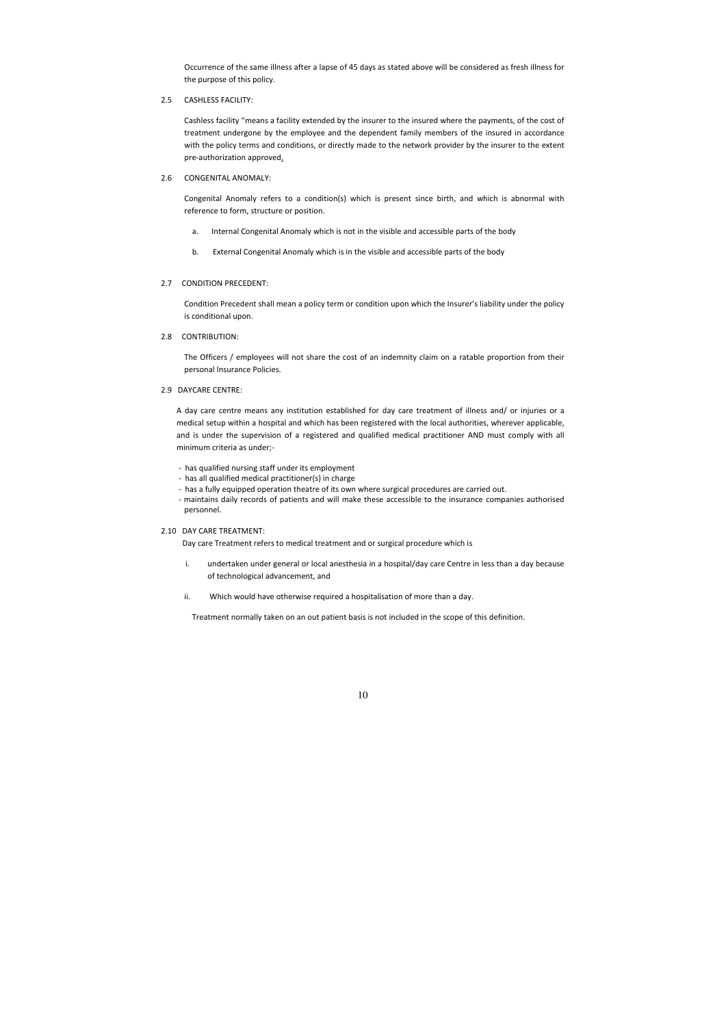Occurrence of the same illness after a lapse of 45 days as stated above will be considered as fresh illness for the purpose of this policy.

2.5 CASHLESS FACILITY:

Cashless facility "means a facility extended by the insurer to the insured where the payments, of the cost of treatment undergone by the employee and the dependent family members of the insured in accordance with the policy terms and conditions, or directly made to the network provider by the insurer to the extent pre-authorization approved.

2.6 CONGENITAL ANOMALY:

Congenital Anomaly refers to a condition(s) which is present since birth, and which is abnormal with reference to form, structure or position.

- a. Internal Congenital Anomaly which is not in the visible and accessible parts of the body
- b. External Congenital Anomaly which is in the visible and accessible parts of the body

### 2.7 CONDITION PRECEDENT:

 Condition Precedent shall mean a policy term or condition upon which the Insurer's liability under the policy is conditional upon.

2.8 CONTRIBUTION:

 The Officers / employees will not share the cost of an indemnity claim on a ratable proportion from their personal Insurance Policies.

2.9 DAYCARE CENTRE:

A day care centre means any institution established for day care treatment of illness and/ or injuries or a medical setup within a hospital and which has been registered with the local authorities, wherever applicable, and is under the supervision of a registered and qualified medical practitioner AND must comply with all minimum criteria as under;-

- has qualified nursing staff under its employment
- has all qualified medical practitioner(s) in charge
- has a fully equipped operation theatre of its own where surgical procedures are carried out.
- maintains daily records of patients and will make these accessible to the insurance companies authorised personnel.

# 2.10 DAY CARE TREATMENT:

Day care Treatment refers to medical treatment and or surgical procedure which is

- i. undertaken under general or local anesthesia in a hospital/day care Centre in less than a day because of technological advancement, and
- ii. Which would have otherwise required a hospitalisation of more than a day.

Treatment normally taken on an out patient basis is not included in the scope of this definition.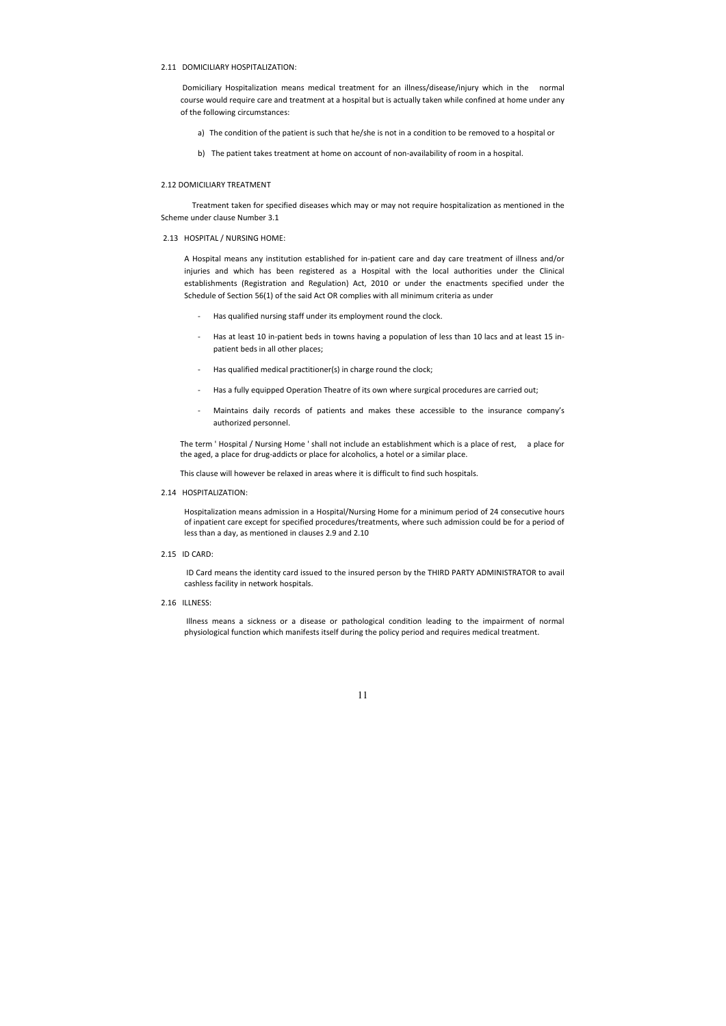# 2.11 DOMICILIARY HOSPITALIZATION:

 Domiciliary Hospitalization means medical treatment for an illness/disease/injury which in the normal course would require care and treatment at a hospital but is actually taken while confined at home under any of the following circumstances:

- a) The condition of the patient is such that he/she is not in a condition to be removed to a hospital or
- b) The patient takes treatment at home on account of non-availability of room in a hospital.

# 2.12 DOMICILIARY TREATMENT

 Treatment taken for specified diseases which may or may not require hospitalization as mentioned in the Scheme under clause Number 3.1

### 2.13 HOSPITAL / NURSING HOME:

A Hospital means any institution established for in-patient care and day care treatment of illness and/or injuries and which has been registered as a Hospital with the local authorities under the Clinical establishments (Registration and Regulation) Act, 2010 or under the enactments specified under the Schedule of Section 56(1) of the said Act OR complies with all minimum criteria as under

- Has qualified nursing staff under its employment round the clock.
- Has at least 10 in-patient beds in towns having a population of less than 10 lacs and at least 15 inpatient beds in all other places;
- Has qualified medical practitioner(s) in charge round the clock;
- Has a fully equipped Operation Theatre of its own where surgical procedures are carried out;
- Maintains daily records of patients and makes these accessible to the insurance company's authorized personnel.

The term ' Hospital / Nursing Home ' shall not include an establishment which is a place of rest, a place for the aged, a place for drug-addicts or place for alcoholics, a hotel or a similar place.

This clause will however be relaxed in areas where it is difficult to find such hospitals.

#### 2.14 HOSPITALIZATION:

Hospitalization means admission in a Hospital/Nursing Home for a minimum period of 24 consecutive hours of inpatient care except for specified procedures/treatments, where such admission could be for a period of less than a day, as mentioned in clauses 2.9 and 2.10

2.15 ID CARD:

 ID Card means the identity card issued to the insured person by the THIRD PARTY ADMINISTRATOR to avail cashless facility in network hospitals.

2.16 ILLNESS:

 Illness means a sickness or a disease or pathological condition leading to the impairment of normal physiological function which manifests itself during the policy period and requires medical treatment.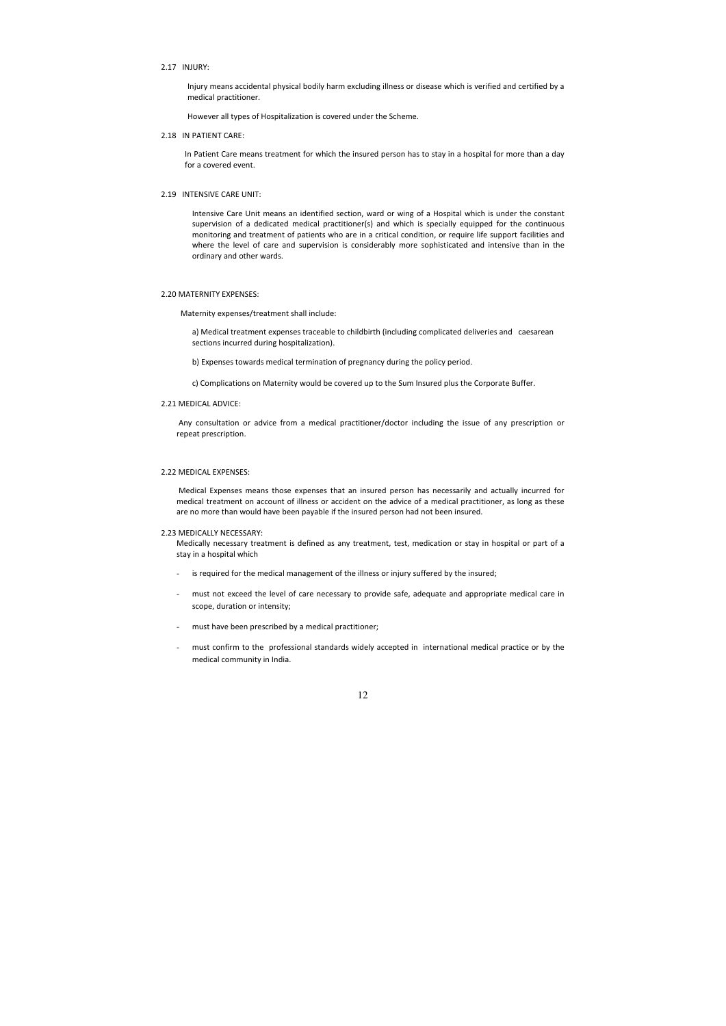# 2.17 INJURY:

Injury means accidental physical bodily harm excluding illness or disease which is verified and certified by a medical practitioner.

However all types of Hospitalization is covered under the Scheme.

2.18 IN PATIENT CARE:

In Patient Care means treatment for which the insured person has to stay in a hospital for more than a day for a covered event.

### 2.19 INTENSIVE CARE UNIT:

Intensive Care Unit means an identified section, ward or wing of a Hospital which is under the constant supervision of a dedicated medical practitioner(s) and which is specially equipped for the continuous monitoring and treatment of patients who are in a critical condition, or require life support facilities and where the level of care and supervision is considerably more sophisticated and intensive than in the ordinary and other wards.

#### 2.20 MATERNITY EXPENSES:

Maternity expenses/treatment shall include:

a) Medical treatment expenses traceable to childbirth (including complicated deliveries and caesarean sections incurred during hospitalization).

b) Expenses towards medical termination of pregnancy during the policy period.

c) Complications on Maternity would be covered up to the Sum Insured plus the Corporate Buffer.

# 2.21 MEDICAL ADVICE:

 Any consultation or advice from a medical practitioner/doctor including the issue of any prescription or repeat prescription.

### 2.22 MEDICAL EXPENSES:

 Medical Expenses means those expenses that an insured person has necessarily and actually incurred for medical treatment on account of illness or accident on the advice of a medical practitioner, as long as these are no more than would have been payable if the insured person had not been insured.

#### 2.23 MEDICALLY NECESSARY:

Medically necessary treatment is defined as any treatment, test, medication or stay in hospital or part of a stay in a hospital which

- is required for the medical management of the illness or injury suffered by the insured;
- must not exceed the level of care necessary to provide safe, adequate and appropriate medical care in scope, duration or intensity;
- must have been prescribed by a medical practitioner;
- must confirm to the professional standards widely accepted in international medical practice or by the medical community in India.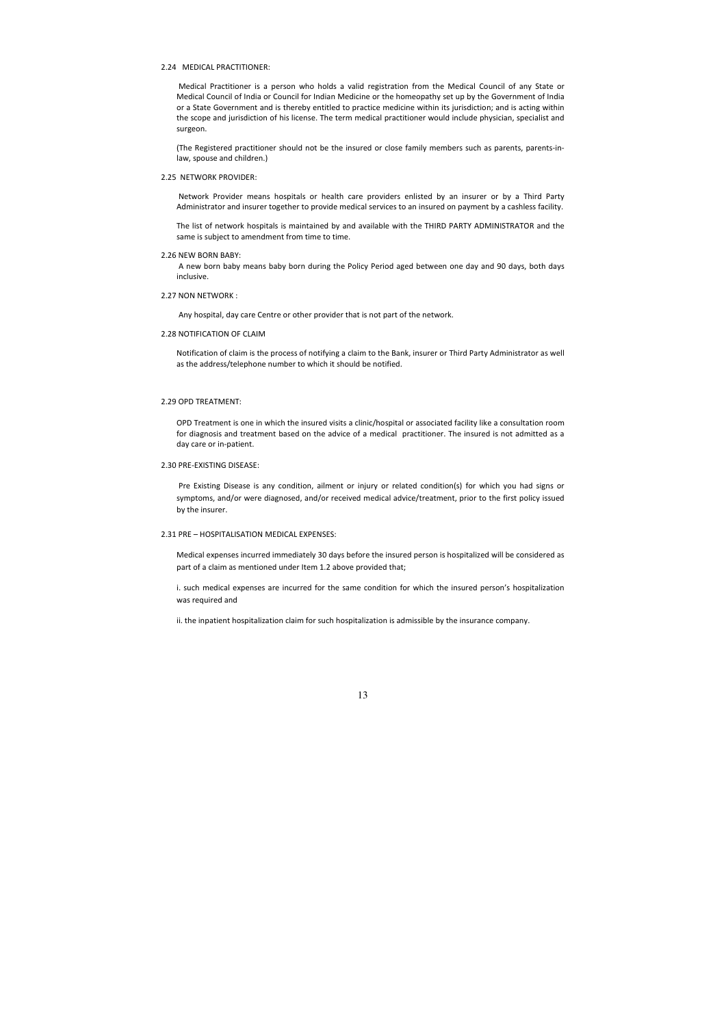# 2.24 MEDICAL PRACTITIONER:

 Medical Practitioner is a person who holds a valid registration from the Medical Council of any State or Medical Council of India or Council for Indian Medicine or the homeopathy set up by the Government of India or a State Government and is thereby entitled to practice medicine within its jurisdiction; and is acting within the scope and jurisdiction of his license. The term medical practitioner would include physician, specialist and surgeon.

(The Registered practitioner should not be the insured or close family members such as parents, parents-inlaw, spouse and children.)

### 2.25 NETWORK PROVIDER:

 Network Provider means hospitals or health care providers enlisted by an insurer or by a Third Party Administrator and insurer together to provide medical services to an insured on payment by a cashless facility.

The list of network hospitals is maintained by and available with the THIRD PARTY ADMINISTRATOR and the same is subject to amendment from time to time.

#### 2.26 NEW BORN BABY:

 A new born baby means baby born during the Policy Period aged between one day and 90 days, both days inclusive.

#### 2.27 NON NETWORK :

Any hospital, day care Centre or other provider that is not part of the network.

### 2.28 NOTIFICATION OF CLAIM

Notification of claim is the process of notifying a claim to the Bank, insurer or Third Party Administrator as well as the address/telephone number to which it should be notified.

### 2.29 OPD TREATMENT:

OPD Treatment is one in which the insured visits a clinic/hospital or associated facility like a consultation room for diagnosis and treatment based on the advice of a medical practitioner. The insured is not admitted as a day care or in-patient.

# 2.30 PRE-EXISTING DISEASE:

 Pre Existing Disease is any condition, ailment or injury or related condition(s) for which you had signs or symptoms, and/or were diagnosed, and/or received medical advice/treatment, prior to the first policy issued by the insurer.

#### 2.31 PRE – HOSPITALISATION MEDICAL EXPENSES:

Medical expenses incurred immediately 30 days before the insured person is hospitalized will be considered as part of a claim as mentioned under Item 1.2 above provided that;

i. such medical expenses are incurred for the same condition for which the insured person's hospitalization was required and

ii. the inpatient hospitalization claim for such hospitalization is admissible by the insurance company.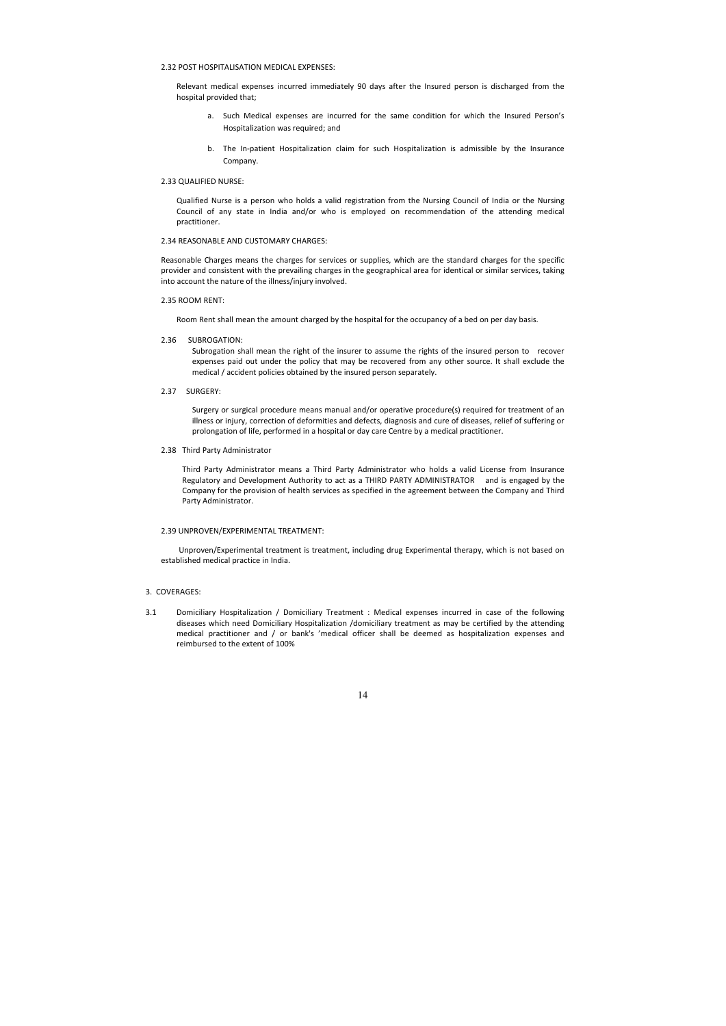# 2.32 POST HOSPITALISATION MEDICAL EXPENSES:

Relevant medical expenses incurred immediately 90 days after the Insured person is discharged from the hospital provided that;

- a. Such Medical expenses are incurred for the same condition for which the Insured Person's Hospitalization was required; and
- b. The In-patient Hospitalization claim for such Hospitalization is admissible by the Insurance Company.

## 2.33 QUALIFIED NURSE:

Qualified Nurse is a person who holds a valid registration from the Nursing Council of India or the Nursing Council of any state in India and/or who is employed on recommendation of the attending medical practitioner.

# 2.34 REASONABLE AND CUSTOMARY CHARGES:

Reasonable Charges means the charges for services or supplies, which are the standard charges for the specific provider and consistent with the prevailing charges in the geographical area for identical or similar services, taking into account the nature of the illness/injury involved.

### 2.35 ROOM RENT:

Room Rent shall mean the amount charged by the hospital for the occupancy of a bed on per day basis.

2.36 SUBROGATION:

Subrogation shall mean the right of the insurer to assume the rights of the insured person to recover expenses paid out under the policy that may be recovered from any other source. It shall exclude the medical / accident policies obtained by the insured person separately.

2.37 SURGERY:

Surgery or surgical procedure means manual and/or operative procedure(s) required for treatment of an illness or injury, correction of deformities and defects, diagnosis and cure of diseases, relief of suffering or prolongation of life, performed in a hospital or day care Centre by a medical practitioner.

2.38 Third Party Administrator

Third Party Administrator means a Third Party Administrator who holds a valid License from Insurance Regulatory and Development Authority to act as a THIRD PARTY ADMINISTRATOR and is engaged by the Company for the provision of health services as specified in the agreement between the Company and Third Party Administrator.

#### 2.39 UNPROVEN/EXPERIMENTAL TREATMENT:

 Unproven/Experimental treatment is treatment, including drug Experimental therapy, which is not based on established medical practice in India.

### 3. COVERAGES:

3.1 Domiciliary Hospitalization / Domiciliary Treatment : Medical expenses incurred in case of the following diseases which need Domiciliary Hospitalization /domiciliary treatment as may be certified by the attending medical practitioner and / or bank's 'medical officer shall be deemed as hospitalization expenses and reimbursed to the extent of 100%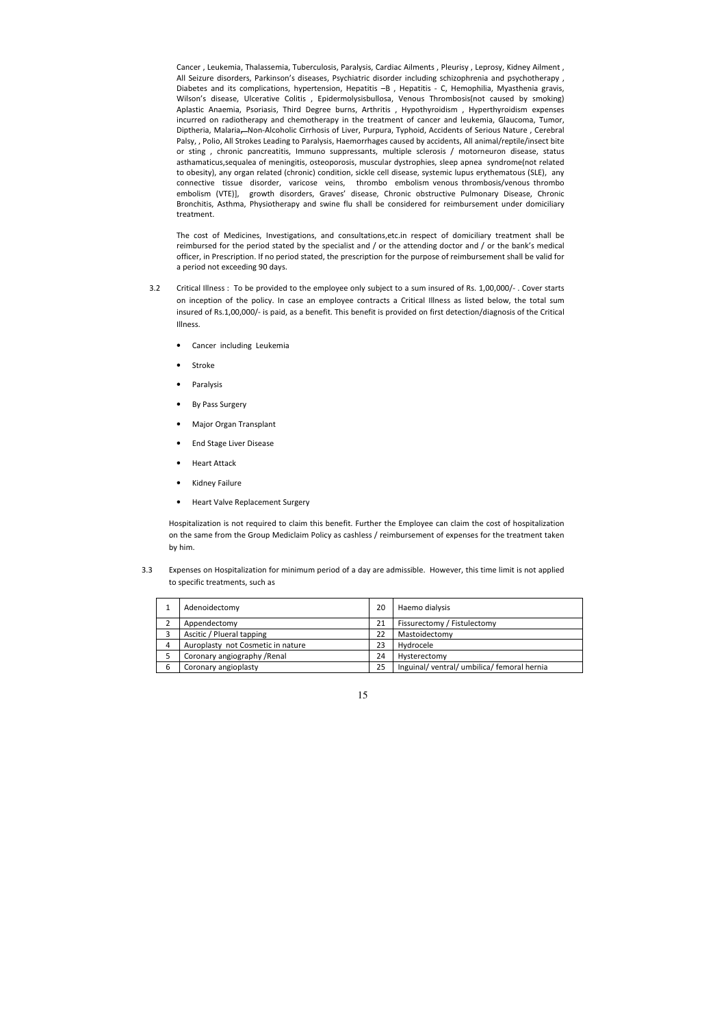Cancer , Leukemia, Thalassemia, Tuberculosis, Paralysis, Cardiac Ailments , Pleurisy , Leprosy, Kidney Ailment , All Seizure disorders, Parkinson's diseases, Psychiatric disorder including schizophrenia and psychotherapy , Diabetes and its complications, hypertension, Hepatitis -B , Hepatitis - C, Hemophilia, Myasthenia gravis, Wilson's disease, Ulcerative Colitis , Epidermolysisbullosa, Venous Thrombosis(not caused by smoking) Aplastic Anaemia, Psoriasis, Third Degree burns, Arthritis , Hypothyroidism , Hyperthyroidism expenses incurred on radiotherapy and chemotherapy in the treatment of cancer and leukemia, Glaucoma, Tumor, Diptheria, Malaria, Non-Alcoholic Cirrhosis of Liver, Purpura, Typhoid, Accidents of Serious Nature , Cerebral Palsy, , Polio, All Strokes Leading to Paralysis, Haemorrhages caused by accidents, All animal/reptile/insect bite or sting , chronic pancreatitis, Immuno suppressants, multiple sclerosis / motorneuron disease, status asthamaticus,sequalea of meningitis, osteoporosis, muscular dystrophies, sleep apnea syndrome(not related to obesity), any organ related (chronic) condition, sickle cell disease, systemic lupus erythematous (SLE), any connective tissue disorder, varicose veins, thrombo embolism venous thrombosis/venous thrombo embolism (VTE)], growth disorders, Graves' disease, Chronic obstructive Pulmonary Disease, Chronic Bronchitis, Asthma, Physiotherapy and swine flu shall be considered for reimbursement under domiciliary treatment.

The cost of Medicines, Investigations, and consultations,etc.in respect of domiciliary treatment shall be reimbursed for the period stated by the specialist and / or the attending doctor and / or the bank's medical officer, in Prescription. If no period stated, the prescription for the purpose of reimbursement shall be valid for a period not exceeding 90 days.

- 3.2 Critical Illness : To be provided to the employee only subject to a sum insured of Rs. 1,00,000/- . Cover starts on inception of the policy. In case an employee contracts a Critical Illness as listed below, the total sum insured of Rs.1,00,000/- is paid, as a benefit. This benefit is provided on first detection/diagnosis of the Critical Illness.
	- Cancer including Leukemia
	- **Stroke**
	- **Paralysis**
	- By Pass Surgery
	- Major Organ Transplant
	- End Stage Liver Disease
	- Heart Attack
	- Kidney Failure
	- Heart Valve Replacement Surgery

Hospitalization is not required to claim this benefit. Further the Employee can claim the cost of hospitalization on the same from the Group Mediclaim Policy as cashless / reimbursement of expenses for the treatment taken by him.

3.3 Expenses on Hospitalization for minimum period of a day are admissible. However, this time limit is not applied to specific treatments, such as

|   | Adenoidectomy                     | 20 | Haemo dialysis                           |
|---|-----------------------------------|----|------------------------------------------|
|   | Appendectomy                      | 21 | Fissurectomy / Fistulectomy              |
|   | Ascitic / Plueral tapping         | 22 | Mastoidectomy                            |
| 4 | Auroplasty not Cosmetic in nature | 23 | Hydrocele                                |
|   | Coronary angiography / Renal      | 24 | Hysterectomy                             |
| 6 | Coronary angioplasty              | 25 | Inguinal/ventral/umbilica/femoral hernia |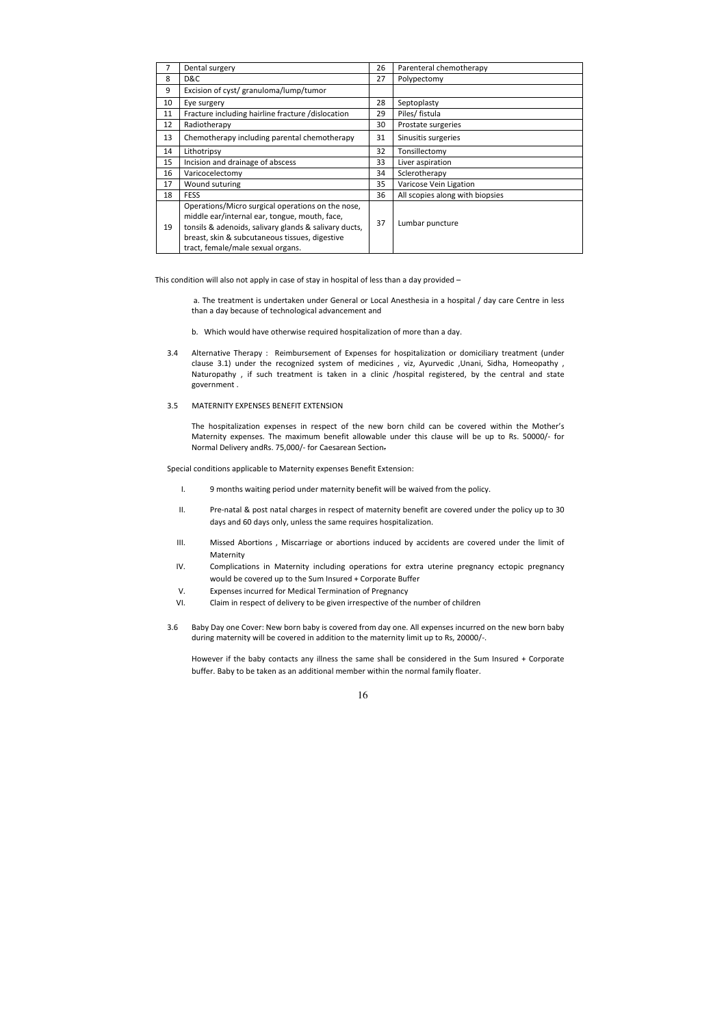|    | Dental surgery                                                                                                                                                                                                                                     | 26 | Parenteral chemotherapy         |
|----|----------------------------------------------------------------------------------------------------------------------------------------------------------------------------------------------------------------------------------------------------|----|---------------------------------|
| 8  | D&C                                                                                                                                                                                                                                                | 27 | Polypectomy                     |
| 9  | Excision of cyst/ granuloma/lump/tumor                                                                                                                                                                                                             |    |                                 |
| 10 | Eye surgery                                                                                                                                                                                                                                        | 28 | Septoplasty                     |
| 11 | Fracture including hairline fracture /dislocation                                                                                                                                                                                                  | 29 | Piles/ fistula                  |
| 12 | Radiotherapy                                                                                                                                                                                                                                       | 30 | Prostate surgeries              |
| 13 | Chemotherapy including parental chemotherapy                                                                                                                                                                                                       | 31 | Sinusitis surgeries             |
| 14 | Lithotripsy                                                                                                                                                                                                                                        | 32 | Tonsillectomy                   |
| 15 | Incision and drainage of abscess                                                                                                                                                                                                                   | 33 | Liver aspiration                |
| 16 | Varicocelectomy                                                                                                                                                                                                                                    | 34 | Sclerotherapy                   |
| 17 | Wound suturing                                                                                                                                                                                                                                     | 35 | Varicose Vein Ligation          |
| 18 | <b>FESS</b>                                                                                                                                                                                                                                        | 36 | All scopies along with biopsies |
| 19 | Operations/Micro surgical operations on the nose,<br>middle ear/internal ear, tongue, mouth, face,<br>tonsils & adenoids, salivary glands & salivary ducts,<br>breast, skin & subcutaneous tissues, digestive<br>tract, female/male sexual organs. | 37 | Lumbar puncture                 |

This condition will also not apply in case of stay in hospital of less than a day provided –

 a. The treatment is undertaken under General or Local Anesthesia in a hospital / day care Centre in less than a day because of technological advancement and

- b. Which would have otherwise required hospitalization of more than a day.
- 3.4 Alternative Therapy : Reimbursement of Expenses for hospitalization or domiciliary treatment (under clause 3.1) under the recognized system of medicines , viz, Ayurvedic ,Unani, Sidha, Homeopathy , Naturopathy , if such treatment is taken in a clinic /hospital registered, by the central and state government .

#### 3.5 MATERNITY EXPENSES BENEFIT EXTENSION

The hospitalization expenses in respect of the new born child can be covered within the Mother's Maternity expenses. The maximum benefit allowable under this clause will be up to Rs. 50000/- for Normal Delivery andRs. 75,000/- for Caesarean Section.

Special conditions applicable to Maternity expenses Benefit Extension:

- I. 9 months waiting period under maternity benefit will be waived from the policy.
- II. Pre-natal & post natal charges in respect of maternity benefit are covered under the policy up to 30 days and 60 days only, unless the same requires hospitalization.
- III. Missed Abortions , Miscarriage or abortions induced by accidents are covered under the limit of Maternity
- IV. Complications in Maternity including operations for extra uterine pregnancy ectopic pregnancy would be covered up to the Sum Insured + Corporate Buffer
- V. Expenses incurred for Medical Termination of Pregnancy
- VI. Claim in respect of delivery to be given irrespective of the number of children
- 3.6 Baby Day one Cover: New born baby is covered from day one. All expenses incurred on the new born baby during maternity will be covered in addition to the maternity limit up to Rs, 20000/-.

However if the baby contacts any illness the same shall be considered in the Sum Insured + Corporate buffer. Baby to be taken as an additional member within the normal family floater.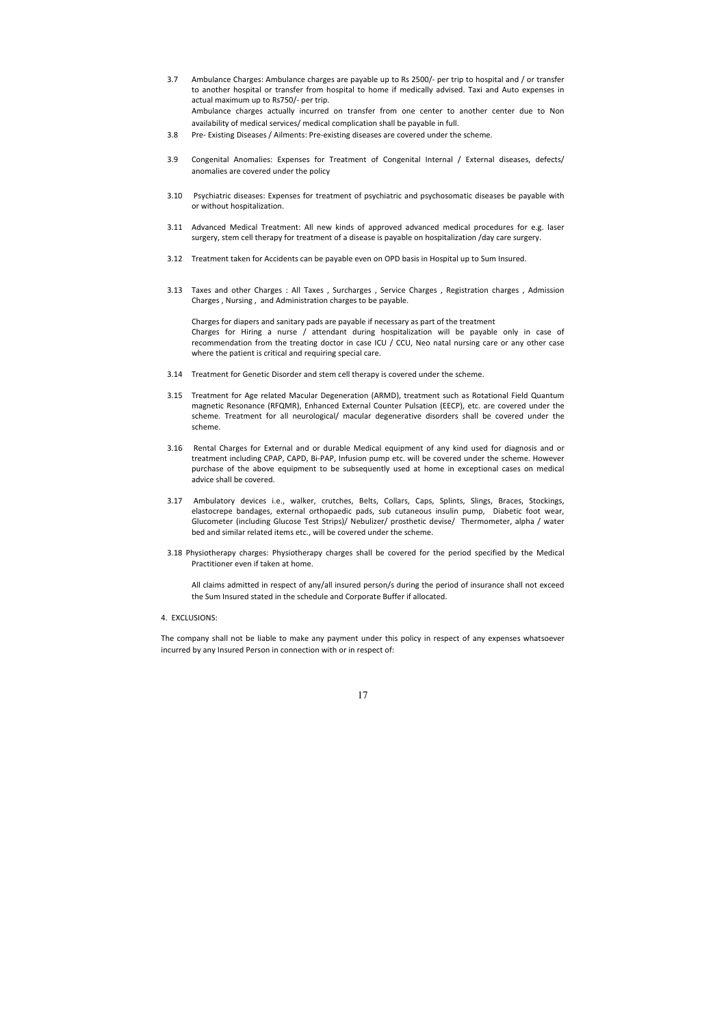- 3.7 Ambulance Charges: Ambulance charges are payable up to Rs 2500/- per trip to hospital and / or transfer to another hospital or transfer from hospital to home if medically advised. Taxi and Auto expenses in actual maximum up to Rs750/- per trip. Ambulance charges actually incurred on transfer from one center to another center due to Non availability of medical services/ medical complication shall be payable in full.
- 3.8 Pre- Existing Diseases / Ailments: Pre-existing diseases are covered under the scheme.
- 3.9 Congenital Anomalies: Expenses for Treatment of Congenital Internal / External diseases, defects/ anomalies are covered under the policy
- 3.10 Psychiatric diseases: Expenses for treatment of psychiatric and psychosomatic diseases be payable with or without hospitalization.
- 3.11 Advanced Medical Treatment: All new kinds of approved advanced medical procedures for e.g. laser surgery, stem cell therapy for treatment of a disease is payable on hospitalization /day care surgery.
- 3.12 Treatment taken for Accidents can be payable even on OPD basis in Hospital up to Sum Insured.
- 3.13 Taxes and other Charges : All Taxes , Surcharges , Service Charges , Registration charges , Admission Charges , Nursing , and Administration charges to be payable.

Charges for diapers and sanitary pads are payable if necessary as part of the treatment Charges for Hiring a nurse / attendant during hospitalization will be payable only in case of recommendation from the treating doctor in case ICU / CCU, Neo natal nursing care or any other case where the patient is critical and requiring special care.

- 3.14 Treatment for Genetic Disorder and stem cell therapy is covered under the scheme.
- 3.15 Treatment for Age related Macular Degeneration (ARMD), treatment such as Rotational Field Quantum magnetic Resonance (RFQMR), Enhanced External Counter Pulsation (EECP), etc. are covered under the scheme. Treatment for all neurological/ macular degenerative disorders shall be covered under the scheme.
- 3.16 Rental Charges for External and or durable Medical equipment of any kind used for diagnosis and or treatment including CPAP, CAPD, Bi-PAP, Infusion pump etc. will be covered under the scheme. However purchase of the above equipment to be subsequently used at home in exceptional cases on medical advice shall be covered.
- 3.17 Ambulatory devices i.e., walker, crutches, Belts, Collars, Caps, Splints, Slings, Braces, Stockings, elastocrepe bandages, external orthopaedic pads, sub cutaneous insulin pump, Diabetic foot wear, Glucometer (including Glucose Test Strips)/ Nebulizer/ prosthetic devise/ Thermometer, alpha / water bed and similar related items etc., will be covered under the scheme.
- 3.18 Physiotherapy charges: Physiotherapy charges shall be covered for the period specified by the Medical Practitioner even if taken at home.

All claims admitted in respect of any/all insured person/s during the period of insurance shall not exceed the Sum Insured stated in the schedule and Corporate Buffer if allocated.

4. EXCLUSIONS:

The company shall not be liable to make any payment under this policy in respect of any expenses whatsoever incurred by any Insured Person in connection with or in respect of: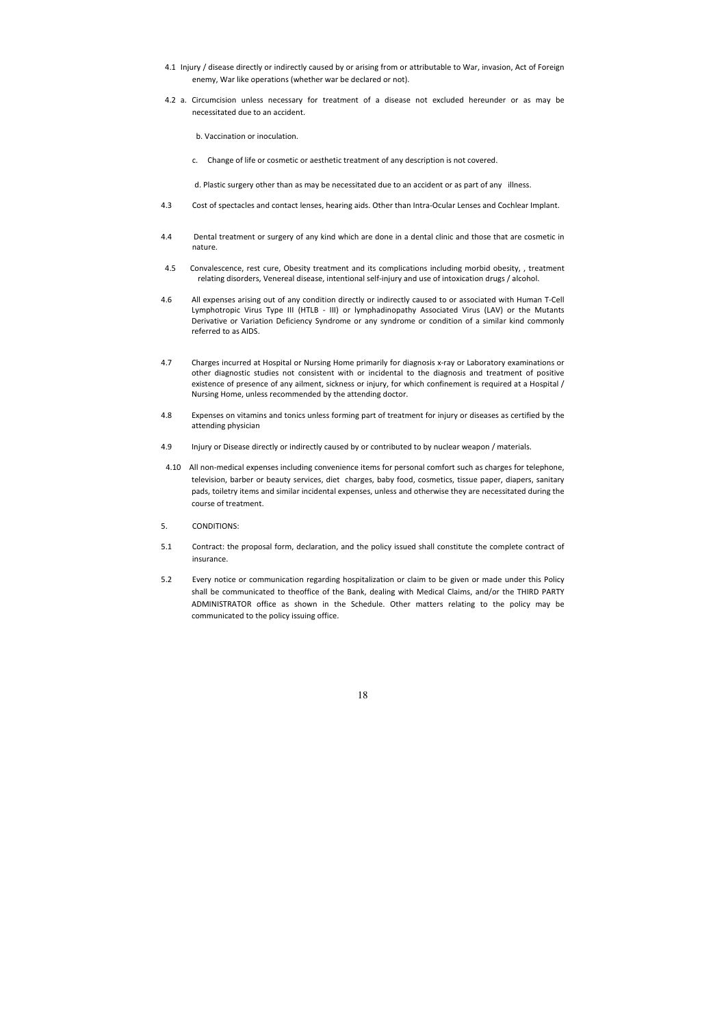- 4.1 Injury / disease directly or indirectly caused by or arising from or attributable to War, invasion, Act of Foreign enemy, War like operations (whether war be declared or not).
- 4.2 a. Circumcision unless necessary for treatment of a disease not excluded hereunder or as may be necessitated due to an accident.

b. Vaccination or inoculation.

c. Change of life or cosmetic or aesthetic treatment of any description is not covered.

d. Plastic surgery other than as may be necessitated due to an accident or as part of any illness.

- 4.3 Cost of spectacles and contact lenses, hearing aids. Other than Intra-Ocular Lenses and Cochlear Implant.
- 4.4 Dental treatment or surgery of any kind which are done in a dental clinic and those that are cosmetic in nature.
- 4.5 Convalescence, rest cure, Obesity treatment and its complications including morbid obesity, , treatment relating disorders, Venereal disease, intentional self-injury and use of intoxication drugs / alcohol.
- 4.6 All expenses arising out of any condition directly or indirectly caused to or associated with Human T-Cell Lymphotropic Virus Type III (HTLB - III) or lymphadinopathy Associated Virus (LAV) or the Mutants Derivative or Variation Deficiency Syndrome or any syndrome or condition of a similar kind commonly referred to as AIDS.
- 4.7 Charges incurred at Hospital or Nursing Home primarily for diagnosis x-ray or Laboratory examinations or other diagnostic studies not consistent with or incidental to the diagnosis and treatment of positive existence of presence of any ailment, sickness or injury, for which confinement is required at a Hospital / Nursing Home, unless recommended by the attending doctor.
- 4.8 Expenses on vitamins and tonics unless forming part of treatment for injury or diseases as certified by the attending physician
- 4.9 Injury or Disease directly or indirectly caused by or contributed to by nuclear weapon / materials.
- 4.10 All non-medical expenses including convenience items for personal comfort such as charges for telephone, television, barber or beauty services, diet charges, baby food, cosmetics, tissue paper, diapers, sanitary pads, toiletry items and similar incidental expenses, unless and otherwise they are necessitated during the course of treatment.
- 5. CONDITIONS:
- 5.1 Contract: the proposal form, declaration, and the policy issued shall constitute the complete contract of insurance.
- 5.2 Every notice or communication regarding hospitalization or claim to be given or made under this Policy shall be communicated to theoffice of the Bank, dealing with Medical Claims, and/or the THIRD PARTY ADMINISTRATOR office as shown in the Schedule. Other matters relating to the policy may be communicated to the policy issuing office.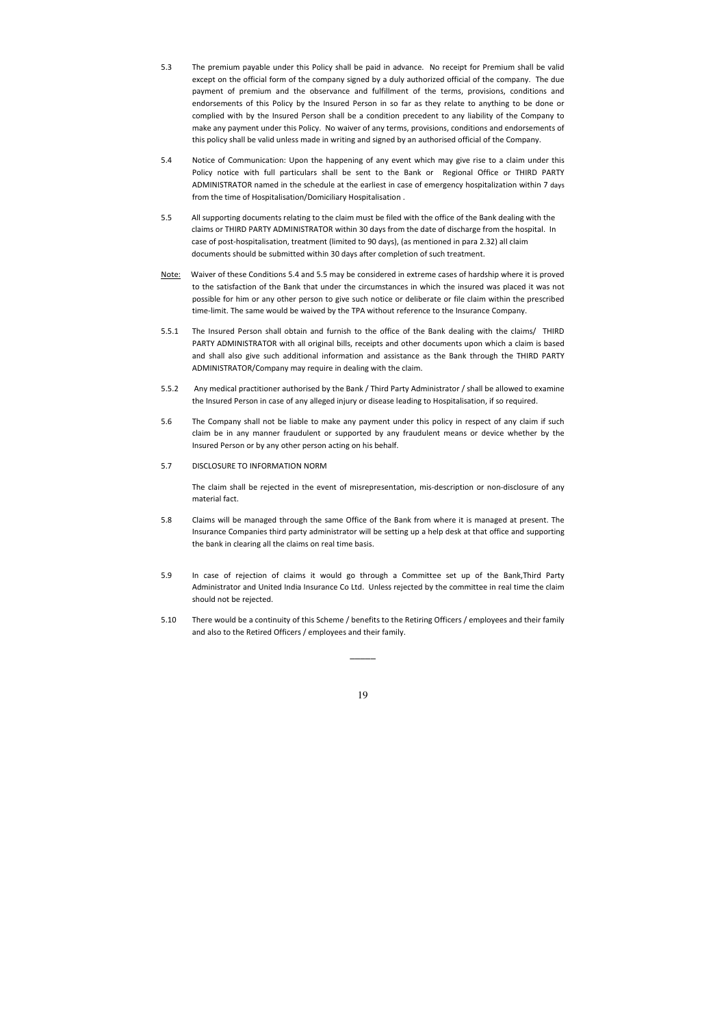- 5.3 The premium payable under this Policy shall be paid in advance. No receipt for Premium shall be valid except on the official form of the company signed by a duly authorized official of the company. The due payment of premium and the observance and fulfillment of the terms, provisions, conditions and endorsements of this Policy by the Insured Person in so far as they relate to anything to be done or complied with by the Insured Person shall be a condition precedent to any liability of the Company to make any payment under this Policy. No waiver of any terms, provisions, conditions and endorsements of this policy shall be valid unless made in writing and signed by an authorised official of the Company.
- 5.4 Notice of Communication: Upon the happening of any event which may give rise to a claim under this Policy notice with full particulars shall be sent to the Bank or Regional Office or THIRD PARTY ADMINISTRATOR named in the schedule at the earliest in case of emergency hospitalization within 7 days from the time of Hospitalisation/Domiciliary Hospitalisation .
- 5.5 All supporting documents relating to the claim must be filed with the office of the Bank dealing with the claims or THIRD PARTY ADMINISTRATOR within 30 days from the date of discharge from the hospital. In case of post-hospitalisation, treatment (limited to 90 days), (as mentioned in para 2.32) all claim documents should be submitted within 30 days after completion of such treatment.
- Note: Waiver of these Conditions 5.4 and 5.5 may be considered in extreme cases of hardship where it is proved to the satisfaction of the Bank that under the circumstances in which the insured was placed it was not possible for him or any other person to give such notice or deliberate or file claim within the prescribed time-limit. The same would be waived by the TPA without reference to the Insurance Company.
- 5.5.1 The Insured Person shall obtain and furnish to the office of the Bank dealing with the claims/ THIRD PARTY ADMINISTRATOR with all original bills, receipts and other documents upon which a claim is based and shall also give such additional information and assistance as the Bank through the THIRD PARTY ADMINISTRATOR/Company may require in dealing with the claim.
- 5.5.2 Any medical practitioner authorised by the Bank / Third Party Administrator / shall be allowed to examine the Insured Person in case of any alleged injury or disease leading to Hospitalisation, if so required.
- 5.6 The Company shall not be liable to make any payment under this policy in respect of any claim if such claim be in any manner fraudulent or supported by any fraudulent means or device whether by the Insured Person or by any other person acting on his behalf.
- 5.7 DISCLOSURE TO INFORMATION NORM

 The claim shall be rejected in the event of misrepresentation, mis-description or non-disclosure of any material fact.

- 5.8 Claims will be managed through the same Office of the Bank from where it is managed at present. The Insurance Companies third party administrator will be setting up a help desk at that office and supporting the bank in clearing all the claims on real time basis.
- 5.9 In case of rejection of claims it would go through a Committee set up of the Bank,Third Party Administrator and United India Insurance Co Ltd. Unless rejected by the committee in real time the claim should not be rejected.
- 5.10 There would be a continuity of this Scheme / benefits to the Retiring Officers / employees and their family and also to the Retired Officers / employees and their family.

 $\overline{\phantom{a}}$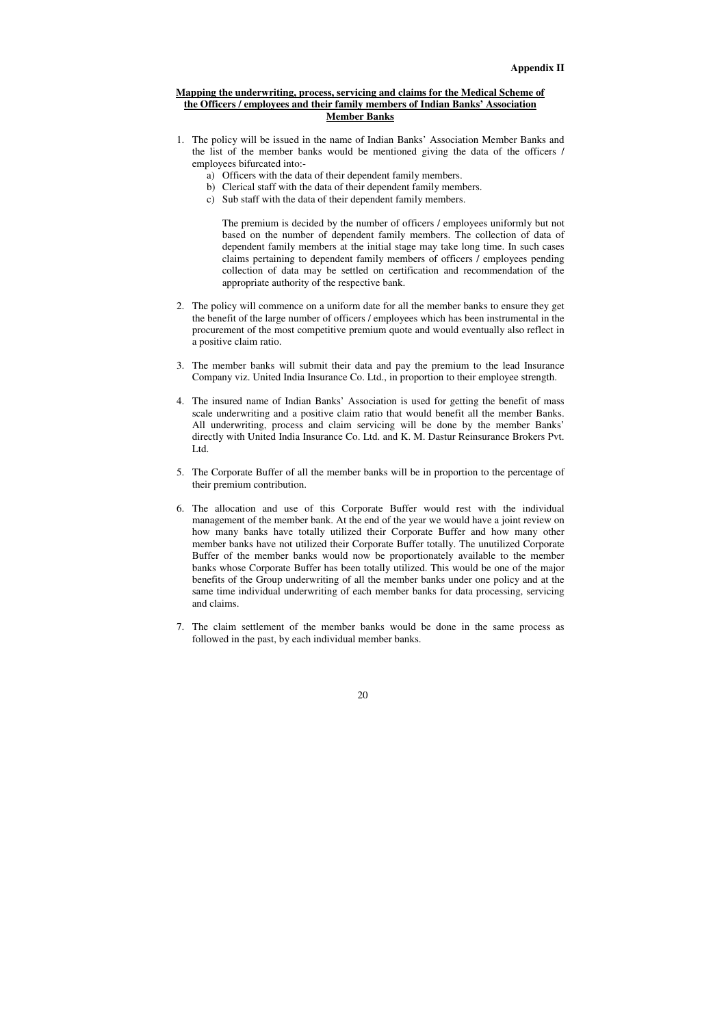# **Mapping the underwriting, process, servicing and claims for the Medical Scheme of the Officers / employees and their family members of Indian Banks' Association Member Banks**

- 1. The policy will be issued in the name of Indian Banks' Association Member Banks and the list of the member banks would be mentioned giving the data of the officers / employees bifurcated into:
	- a) Officers with the data of their dependent family members.
	- b) Clerical staff with the data of their dependent family members.
	- c) Sub staff with the data of their dependent family members.

The premium is decided by the number of officers / employees uniformly but not based on the number of dependent family members. The collection of data of dependent family members at the initial stage may take long time. In such cases claims pertaining to dependent family members of officers / employees pending collection of data may be settled on certification and recommendation of the appropriate authority of the respective bank.

- 2. The policy will commence on a uniform date for all the member banks to ensure they get the benefit of the large number of officers / employees which has been instrumental in the procurement of the most competitive premium quote and would eventually also reflect in a positive claim ratio.
- 3. The member banks will submit their data and pay the premium to the lead Insurance Company viz. United India Insurance Co. Ltd., in proportion to their employee strength.
- 4. The insured name of Indian Banks' Association is used for getting the benefit of mass scale underwriting and a positive claim ratio that would benefit all the member Banks. All underwriting, process and claim servicing will be done by the member Banks' directly with United India Insurance Co. Ltd. and K. M. Dastur Reinsurance Brokers Pvt. Ltd.
- 5. The Corporate Buffer of all the member banks will be in proportion to the percentage of their premium contribution.
- 6. The allocation and use of this Corporate Buffer would rest with the individual management of the member bank. At the end of the year we would have a joint review on how many banks have totally utilized their Corporate Buffer and how many other member banks have not utilized their Corporate Buffer totally. The unutilized Corporate Buffer of the member banks would now be proportionately available to the member banks whose Corporate Buffer has been totally utilized. This would be one of the major benefits of the Group underwriting of all the member banks under one policy and at the same time individual underwriting of each member banks for data processing, servicing and claims.
- 7. The claim settlement of the member banks would be done in the same process as followed in the past, by each individual member banks.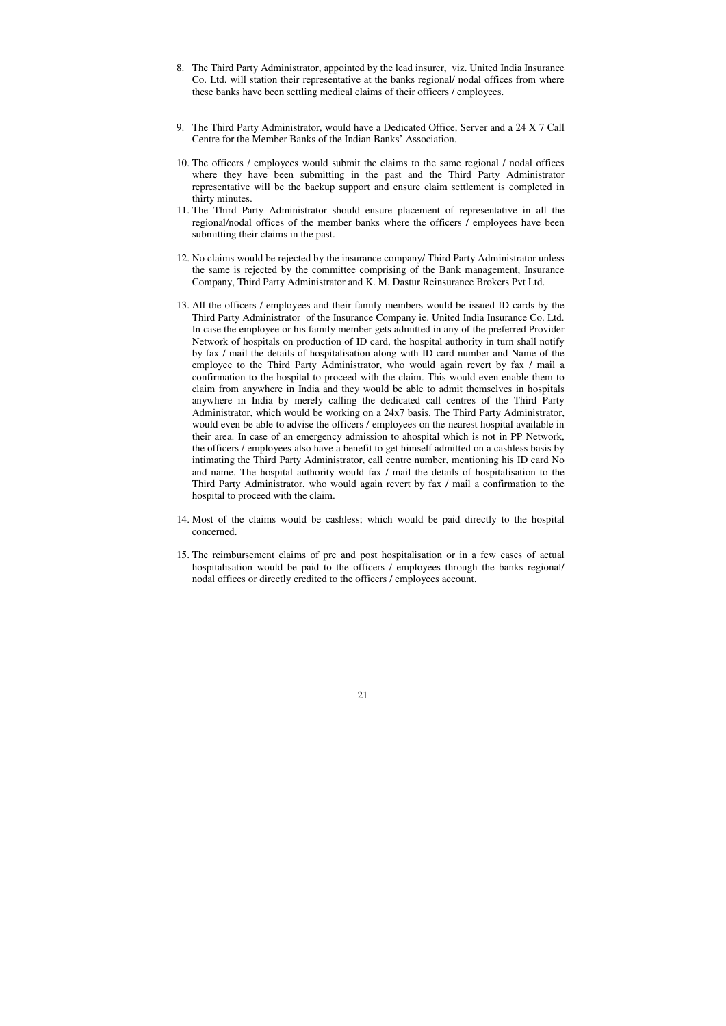- 8. The Third Party Administrator, appointed by the lead insurer, viz. United India Insurance Co. Ltd. will station their representative at the banks regional/ nodal offices from where these banks have been settling medical claims of their officers / employees.
- 9. The Third Party Administrator, would have a Dedicated Office, Server and a 24 X 7 Call Centre for the Member Banks of the Indian Banks' Association.
- 10. The officers / employees would submit the claims to the same regional / nodal offices where they have been submitting in the past and the Third Party Administrator representative will be the backup support and ensure claim settlement is completed in thirty minutes.
- 11. The Third Party Administrator should ensure placement of representative in all the regional/nodal offices of the member banks where the officers / employees have been submitting their claims in the past.
- 12. No claims would be rejected by the insurance company/ Third Party Administrator unless the same is rejected by the committee comprising of the Bank management, Insurance Company, Third Party Administrator and K. M. Dastur Reinsurance Brokers Pvt Ltd.
- 13. All the officers / employees and their family members would be issued ID cards by the Third Party Administrator of the Insurance Company ie. United India Insurance Co. Ltd. In case the employee or his family member gets admitted in any of the preferred Provider Network of hospitals on production of ID card, the hospital authority in turn shall notify by fax / mail the details of hospitalisation along with ID card number and Name of the employee to the Third Party Administrator, who would again revert by fax / mail a confirmation to the hospital to proceed with the claim. This would even enable them to claim from anywhere in India and they would be able to admit themselves in hospitals anywhere in India by merely calling the dedicated call centres of the Third Party Administrator, which would be working on a 24x7 basis. The Third Party Administrator, would even be able to advise the officers / employees on the nearest hospital available in their area. In case of an emergency admission to ahospital which is not in PP Network, the officers / employees also have a benefit to get himself admitted on a cashless basis by intimating the Third Party Administrator, call centre number, mentioning his ID card No and name. The hospital authority would fax / mail the details of hospitalisation to the Third Party Administrator, who would again revert by fax / mail a confirmation to the hospital to proceed with the claim.
- 14. Most of the claims would be cashless; which would be paid directly to the hospital concerned.
- 15. The reimbursement claims of pre and post hospitalisation or in a few cases of actual hospitalisation would be paid to the officers / employees through the banks regional/ nodal offices or directly credited to the officers / employees account.